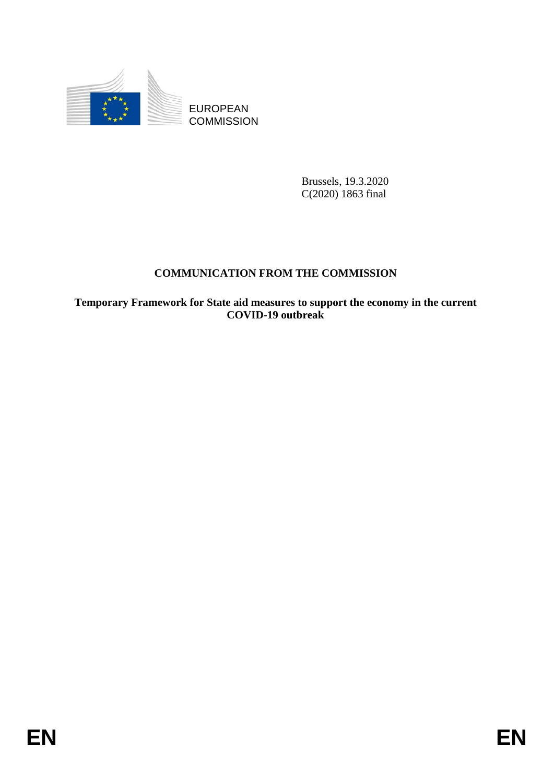

EUROPEAN **COMMISSION** 

> Brussels, 19.3.2020 C(2020) 1863 final

# **COMMUNICATION FROM THE COMMISSION**

**Temporary Framework for State aid measures to support the economy in the current COVID-19 outbreak**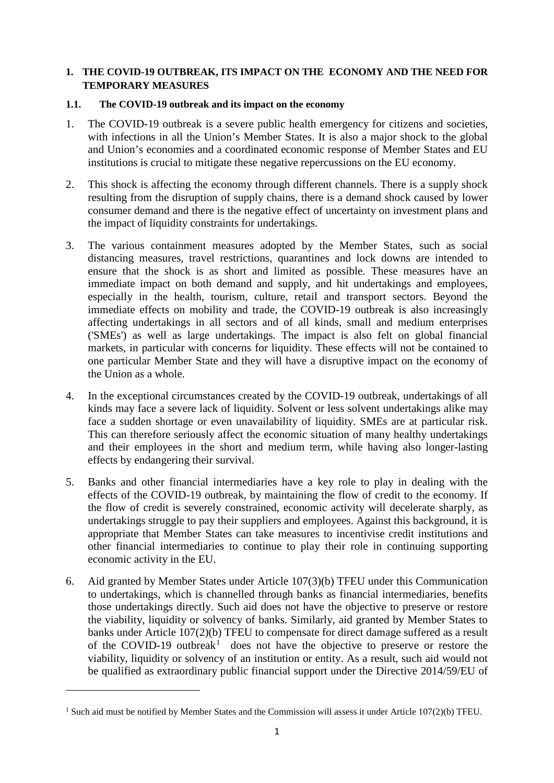# **1. THE COVID-19 OUTBREAK, ITS IMPACT ON THE ECONOMY AND THE NEED FOR TEMPORARY MEASURES**

# **1.1. The COVID-19 outbreak and its impact on the economy**

- 1. The COVID-19 outbreak is a severe public health emergency for citizens and societies, with infections in all the Union's Member States. It is also a major shock to the global and Union's economies and a coordinated economic response of Member States and EU institutions is crucial to mitigate these negative repercussions on the EU economy.
- 2. This shock is affecting the economy through different channels. There is a supply shock resulting from the disruption of supply chains, there is a demand shock caused by lower consumer demand and there is the negative effect of uncertainty on investment plans and the impact of liquidity constraints for undertakings.
- 3. The various containment measures adopted by the Member States, such as social distancing measures, travel restrictions, quarantines and lock downs are intended to ensure that the shock is as short and limited as possible. These measures have an immediate impact on both demand and supply, and hit undertakings and employees, especially in the health, tourism, culture, retail and transport sectors. Beyond the immediate effects on mobility and trade, the COVID-19 outbreak is also increasingly affecting undertakings in all sectors and of all kinds, small and medium enterprises ('SMEs') as well as large undertakings. The impact is also felt on global financial markets, in particular with concerns for liquidity. These effects will not be contained to one particular Member State and they will have a disruptive impact on the economy of the Union as a whole.
- 4. In the exceptional circumstances created by the COVID-19 outbreak, undertakings of all kinds may face a severe lack of liquidity. Solvent or less solvent undertakings alike may face a sudden shortage or even unavailability of liquidity. SMEs are at particular risk. This can therefore seriously affect the economic situation of many healthy undertakings and their employees in the short and medium term, while having also longer-lasting effects by endangering their survival.
- 5. Banks and other financial intermediaries have a key role to play in dealing with the effects of the COVID-19 outbreak, by maintaining the flow of credit to the economy. If the flow of credit is severely constrained, economic activity will decelerate sharply, as undertakings struggle to pay their suppliers and employees. Against this background, it is appropriate that Member States can take measures to incentivise credit institutions and other financial intermediaries to continue to play their role in continuing supporting economic activity in the EU.
- 6. Aid granted by Member States under Article 107(3)(b) TFEU under this Communication to undertakings, which is channelled through banks as financial intermediaries, benefits those undertakings directly. Such aid does not have the objective to preserve or restore the viability, liquidity or solvency of banks. Similarly, aid granted by Member States to banks under Article 107(2)(b) TFEU to compensate for direct damage suffered as a result of the COVID-[1](#page-1-0)9 outbreak<sup>1</sup> does not have the objective to preserve or restore the viability, liquidity or solvency of an institution or entity. As a result, such aid would not be qualified as extraordinary public financial support under the Directive 2014/59/EU of

<span id="page-1-0"></span><sup>&</sup>lt;sup>1</sup> Such aid must be notified by Member States and the Commission will assess it under Article 107(2)(b) TFEU.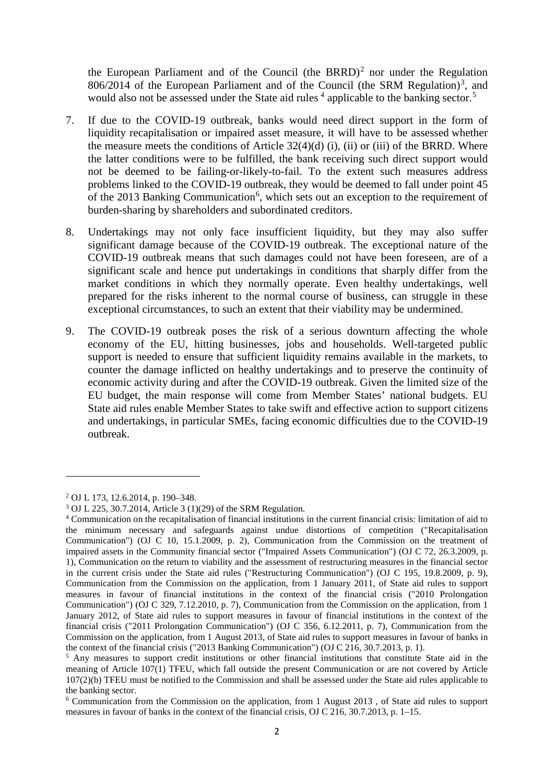the European Parliament and of the Council (the BRRD)<sup>[2](#page-2-0)</sup> nor under the Regulation  $806/2014$  of the European Parliament and of the Council (the SRM Regulation)<sup>[3](#page-2-1)</sup>, and would also not be assessed under the State aid rules  $4$  applicable to the banking sector.<sup>[5](#page-2-3)</sup>

- 7. If due to the COVID-19 outbreak, banks would need direct support in the form of liquidity recapitalisation or impaired asset measure, it will have to be assessed whether the measure meets the conditions of Article  $32(4)(d)$  (i), (ii) or (iii) of the BRRD. Where the latter conditions were to be fulfilled, the bank receiving such direct support would not be deemed to be failing-or-likely-to-fail. To the extent such measures address problems linked to the COVID-19 outbreak, they would be deemed to fall under point 45 of the 2013 Banking Communication<sup>[6](#page-2-4)</sup>, which sets out an exception to the requirement of burden-sharing by shareholders and subordinated creditors.
- 8. Undertakings may not only face insufficient liquidity, but they may also suffer significant damage because of the COVID-19 outbreak. The exceptional nature of the COVID-19 outbreak means that such damages could not have been foreseen, are of a significant scale and hence put undertakings in conditions that sharply differ from the market conditions in which they normally operate. Even healthy undertakings, well prepared for the risks inherent to the normal course of business, can struggle in these exceptional circumstances, to such an extent that their viability may be undermined.
- 9. The COVID-19 outbreak poses the risk of a serious downturn affecting the whole economy of the EU, hitting businesses, jobs and households. Well-targeted public support is needed to ensure that sufficient liquidity remains available in the markets, to counter the damage inflicted on healthy undertakings and to preserve the continuity of economic activity during and after the COVID-19 outbreak. Given the limited size of the EU budget, the main response will come from Member States' national budgets. EU State aid rules enable Member States to take swift and effective action to support citizens and undertakings, in particular SMEs, facing economic difficulties due to the COVID-19 outbreak.

<span id="page-2-0"></span><sup>2</sup> OJ L 173, 12.6.2014, p. 190–348.

<span id="page-2-1"></span><sup>3</sup> OJ L 225, 30.7.2014, Article 3 (1)(29) of the SRM Regulation.

<span id="page-2-2"></span><sup>4</sup> Communication on the recapitalisation of financial institutions in the current financial crisis: limitation of aid to the minimum necessary and safeguards against undue distortions of competition ("Recapitalisation Communication") (OJ C 10, 15.1.2009, p. 2), Communication from the Commission on the treatment of impaired assets in the Community financial sector ("Impaired Assets Communication") (OJ C 72, 26.3.2009, p. 1), Communication on the return to viability and the assessment of restructuring measures in the financial sector in the current crisis under the State aid rules ("Restructuring Communication") (OJ C 195, 19.8.2009, p. 9), Communication from the Commission on the application, from 1 January 2011, of State aid rules to support measures in favour of financial institutions in the context of the financial crisis ("2010 Prolongation Communication") (OJ C 329, 7.12.2010, p. 7), Communication from the Commission on the application, from 1 January 2012, of State aid rules to support measures in favour of financial institutions in the context of the financial crisis ("2011 Prolongation Communication") (OJ C 356, 6.12.2011, p. 7), Communication from the Commission on the application, from 1 August 2013, of State aid rules to support measures in favour of banks in the context of the financial crisis ("2013 Banking Communication") (OJ C 216, 30.7.2013, p. 1).

<span id="page-2-3"></span><sup>5</sup> Any measures to support credit institutions or other financial institutions that constitute State aid in the meaning of Article 107(1) TFEU, which fall outside the present Communication or are not covered by Article 107(2)(b) TFEU must be notified to the Commission and shall be assessed under the State aid rules applicable to the banking sector.

<span id="page-2-4"></span><sup>6</sup> Communication from the Commission on the application, from 1 August 2013 , of State aid rules to support measures in favour of banks in the context of the financial crisis, OJ C 216, 30.7.2013, p. 1–15.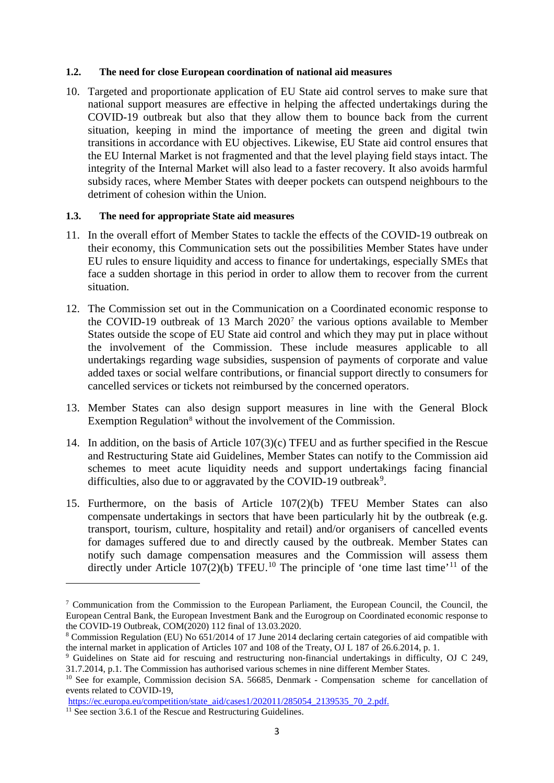#### **1.2. The need for close European coordination of national aid measures**

10. Targeted and proportionate application of EU State aid control serves to make sure that national support measures are effective in helping the affected undertakings during the COVID-19 outbreak but also that they allow them to bounce back from the current situation, keeping in mind the importance of meeting the green and digital twin transitions in accordance with EU objectives. Likewise, EU State aid control ensures that the EU Internal Market is not fragmented and that the level playing field stays intact. The integrity of the Internal Market will also lead to a faster recovery. It also avoids harmful subsidy races, where Member States with deeper pockets can outspend neighbours to the detriment of cohesion within the Union.

# **1.3. The need for appropriate State aid measures**

- 11. In the overall effort of Member States to tackle the effects of the COVID-19 outbreak on their economy, this Communication sets out the possibilities Member States have under EU rules to ensure liquidity and access to finance for undertakings, especially SMEs that face a sudden shortage in this period in order to allow them to recover from the current situation.
- 12. The Commission set out in the Communication on a Coordinated economic response to the COVID-19 outbreak of 13 March 2020[7](#page-3-0) the various options available to Member States outside the scope of EU State aid control and which they may put in place without the involvement of the Commission. These include measures applicable to all undertakings regarding wage subsidies, suspension of payments of corporate and value added taxes or social welfare contributions, or financial support directly to consumers for cancelled services or tickets not reimbursed by the concerned operators.
- 13. Member States can also design support measures in line with the General Block Exemption Regulation<sup>[8](#page-3-1)</sup> without the involvement of the Commission.
- 14. In addition, on the basis of Article 107(3)(c) TFEU and as further specified in the Rescue and Restructuring State aid Guidelines, Member States can notify to the Commission aid schemes to meet acute liquidity needs and support undertakings facing financial difficulties, also due to or aggravated by the COVID-1[9](#page-3-2) outbreak<sup>9</sup>.
- 15. Furthermore, on the basis of Article 107(2)(b) TFEU Member States can also compensate undertakings in sectors that have been particularly hit by the outbreak (e.g. transport, tourism, culture, hospitality and retail) and/or organisers of cancelled events for damages suffered due to and directly caused by the outbreak. Member States can notify such damage compensation measures and the Commission will assess them directly under Article [10](#page-3-3)7(2)(b) TFEU.<sup>10</sup> The principle of 'one time last time'<sup>[11](#page-3-4)</sup> of the

<span id="page-3-0"></span> $\frac{7}{10}$  Communication from the Commission to the European Parliament, the European Council, the Council, the European Central Bank, the European Investment Bank and the Eurogroup on Coordinated economic response to the COVID-19 Outbreak, COM(2020) 112 final of 13.03.2020.<br><sup>8</sup> Commission Regulation (EU) No 651/2014 of 17 June 2014 declaring certain categories of aid compatible with

<span id="page-3-1"></span>the internal market in application of Articles 107 and 108 of the Treaty, OJ L 187 of 26.6.2014, p. 1.

<span id="page-3-2"></span><sup>9</sup> Guidelines on State aid for rescuing and restructuring non-financial undertakings in difficulty, OJ C 249, 31.7.2014, p.1. The Commission has authorised various schemes in nine different Member States.

<span id="page-3-3"></span><sup>&</sup>lt;sup>10</sup> See for example, Commission decision SA, 56685, Denmark - Compensation scheme for cancellation of events related to COVID-19,

[https://ec.europa.eu/competition/state\\_aid/cases1/202011/285054\\_2139535\\_70\\_2.pdf.](https://ec.europa.eu/competition/state_aid/cases1/202011/285054_2139535_70_2.pdf) <sup>11</sup> See section 3.6.1 of the Rescue and Restructuring Guidelines.

<span id="page-3-4"></span>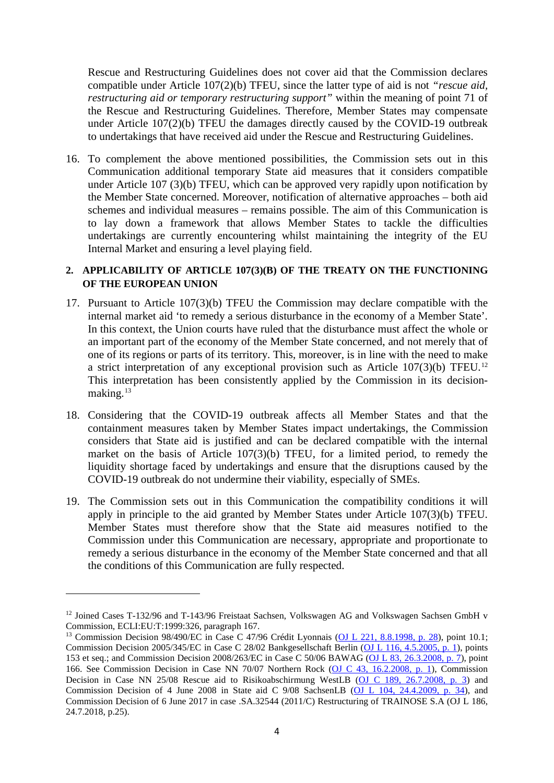Rescue and Restructuring Guidelines does not cover aid that the Commission declares compatible under Article 107(2)(b) TFEU, since the latter type of aid is not *"rescue aid, restructuring aid or temporary restructuring support"* within the meaning of point 71 of the Rescue and Restructuring Guidelines. Therefore, Member States may compensate under Article 107(2)(b) TFEU the damages directly caused by the COVID-19 outbreak to undertakings that have received aid under the Rescue and Restructuring Guidelines.

16. To complement the above mentioned possibilities, the Commission sets out in this Communication additional temporary State aid measures that it considers compatible under Article 107 (3)(b) TFEU, which can be approved very rapidly upon notification by the Member State concerned. Moreover, notification of alternative approaches – both aid schemes and individual measures – remains possible. The aim of this Communication is to lay down a framework that allows Member States to tackle the difficulties undertakings are currently encountering whilst maintaining the integrity of the EU Internal Market and ensuring a level playing field.

# **2. APPLICABILITY OF ARTICLE 107(3)(B) OF THE TREATY ON THE FUNCTIONING OF THE EUROPEAN UNION**

- 17. Pursuant to Article 107(3)(b) TFEU the Commission may declare compatible with the internal market aid 'to remedy a serious disturbance in the economy of a Member State'. In this context, the Union courts have ruled that the disturbance must affect the whole or an important part of the economy of the Member State concerned, and not merely that of one of its regions or parts of its territory. This, moreover, is in line with the need to make a strict interpretation of any exceptional provision such as Article 107(3)(b) TFEU.[12](#page-4-0) This interpretation has been consistently applied by the Commission in its decision-making.<sup>[13](#page-4-1)</sup>
- 18. Considering that the COVID-19 outbreak affects all Member States and that the containment measures taken by Member States impact undertakings, the Commission considers that State aid is justified and can be declared compatible with the internal market on the basis of Article 107(3)(b) TFEU, for a limited period, to remedy the liquidity shortage faced by undertakings and ensure that the disruptions caused by the COVID-19 outbreak do not undermine their viability, especially of SMEs.
- 19. The Commission sets out in this Communication the compatibility conditions it will apply in principle to the aid granted by Member States under Article 107(3)(b) TFEU. Member States must therefore show that the State aid measures notified to the Commission under this Communication are necessary, appropriate and proportionate to remedy a serious disturbance in the economy of the Member State concerned and that all the conditions of this Communication are fully respected.

<span id="page-4-0"></span><sup>&</sup>lt;sup>12</sup> Joined Cases T-132/96 and T-143/96 Freistaat Sachsen, Volkswagen AG and Volkswagen Sachsen GmbH v Commission, ECLI:EU:T:1999:326, paragraph 167.

<span id="page-4-1"></span><sup>13</sup> Commission Decision 98/490/EC in Case C 47/96 Crédit Lyonnais [\(OJ L 221, 8.8.1998, p. 28\)](https://eur-lex.europa.eu/legal-content/EN/AUTO/?uri=OJ:L:1998:221:TOC), point 10.1; Commission Decision 2005/345/EC in Case C 28/02 Bankgesellschaft Berlin [\(OJ L 116, 4.5.2005, p. 1\)](https://eur-lex.europa.eu/legal-content/EN/AUTO/?uri=OJ:L:2005:116:TOC), points 153 et seq.; and Commission Decision 2008/263/EC in Case C 50/06 BAWAG [\(OJ L 83, 26.3.2008, p. 7\)](https://eur-lex.europa.eu/legal-content/EN/AUTO/?uri=OJ:L:2008:083:TOC), point 166. See Commission Decision in Case NN 70/07 Northern Rock [\(OJ C 43, 16.2.2008, p. 1\)](https://eur-lex.europa.eu/legal-content/EN/AUTO/?uri=OJ:C:2008:043:TOC), Commission Decision in Case NN 25/08 Rescue aid to Risikoabschirmung WestLB [\(OJ C 189, 26.7.2008, p. 3\)](https://eur-lex.europa.eu/legal-content/EN/AUTO/?uri=OJ:C:2008:189:TOC) and Commission Decision of 4 June 2008 in State aid C 9/08 SachsenLB [\(OJ L 104, 24.4.2009, p. 34\)](https://eur-lex.europa.eu/legal-content/EN/AUTO/?uri=OJ:L:2009:104:TOC), and Commission Decision of 6 June 2017 in case .SA.32544 (2011/C) Restructuring of TRAINOSE S.A (OJ L 186, 24.7.2018, p.25).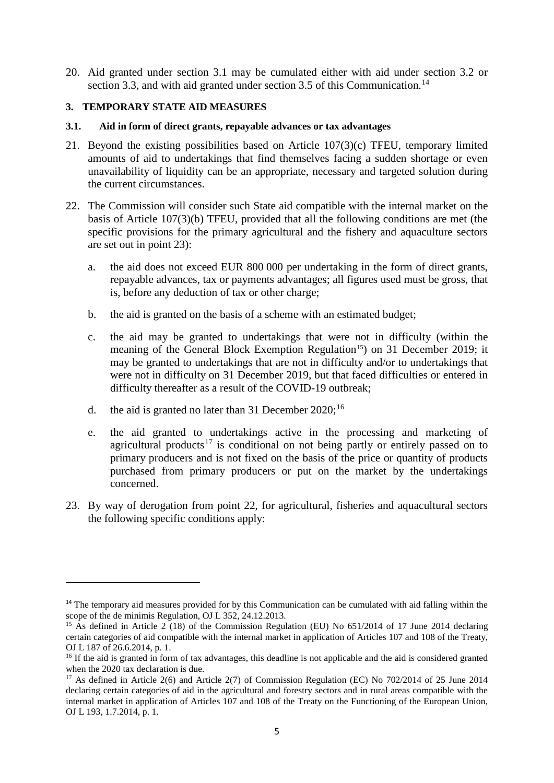20. Aid granted under section 3.1 may be cumulated either with aid under section 3.2 or section 3.3, and with aid granted under section 3.5 of this Communication.<sup>[14](#page-5-0)</sup>

# **3. TEMPORARY STATE AID MEASURES**

#### **3.1. Aid in form of direct grants, repayable advances or tax advantages**

- 21. Beyond the existing possibilities based on Article 107(3)(c) TFEU, temporary limited amounts of aid to undertakings that find themselves facing a sudden shortage or even unavailability of liquidity can be an appropriate, necessary and targeted solution during the current circumstances.
- 22. The Commission will consider such State aid compatible with the internal market on the basis of Article 107(3)(b) TFEU, provided that all the following conditions are met (the specific provisions for the primary agricultural and the fishery and aquaculture sectors are set out in point 23):
	- a. the aid does not exceed EUR 800 000 per undertaking in the form of direct grants, repayable advances, tax or payments advantages; all figures used must be gross, that is, before any deduction of tax or other charge;
	- b. the aid is granted on the basis of a scheme with an estimated budget;
	- c. the aid may be granted to undertakings that were not in difficulty (within the meaning of the General Block Exemption Regulation<sup>15</sup>) on 31 December 2019; it may be granted to undertakings that are not in difficulty and/or to undertakings that were not in difficulty on 31 December 2019, but that faced difficulties or entered in difficulty thereafter as a result of the COVID-19 outbreak;
	- d. the aid is granted no later than 31 December  $2020$ ;<sup>[16](#page-5-2)</sup>

- e. the aid granted to undertakings active in the processing and marketing of agricultural products<sup>[17](#page-5-3)</sup> is conditional on not being partly or entirely passed on to primary producers and is not fixed on the basis of the price or quantity of products purchased from primary producers or put on the market by the undertakings concerned.
- 23. By way of derogation from point 22, for agricultural, fisheries and aquacultural sectors the following specific conditions apply:

<span id="page-5-0"></span><sup>&</sup>lt;sup>14</sup> The temporary aid measures provided for by this Communication can be cumulated with aid falling within the scope of the de minimis Regulation, OJ L 352, 24.12.2013.

<span id="page-5-1"></span><sup>&</sup>lt;sup>15</sup> As defined in Article 2 (18) of the Commission Regulation (EU) No  $651/2014$  of 17 June 2014 declaring certain categories of aid compatible with the internal market in application of Articles 107 and 108 of the Treaty, OJ L 187 of 26.6.2014, p. 1.

<span id="page-5-2"></span><sup>&</sup>lt;sup>16</sup> If the aid is granted in form of tax advantages, this deadline is not applicable and the aid is considered granted when the 2020 tax declaration is due.

<span id="page-5-3"></span><sup>&</sup>lt;sup>17</sup> As defined in Article 2(6) and Article 2(7) of Commission Regulation (EC) No 702/2014 of 25 June 2014 declaring certain categories of aid in the agricultural and forestry sectors and in rural areas compatible with the internal market in application of Articles 107 and 108 of the Treaty on the Functioning of the European Union, OJ L 193, 1.7.2014, p. 1.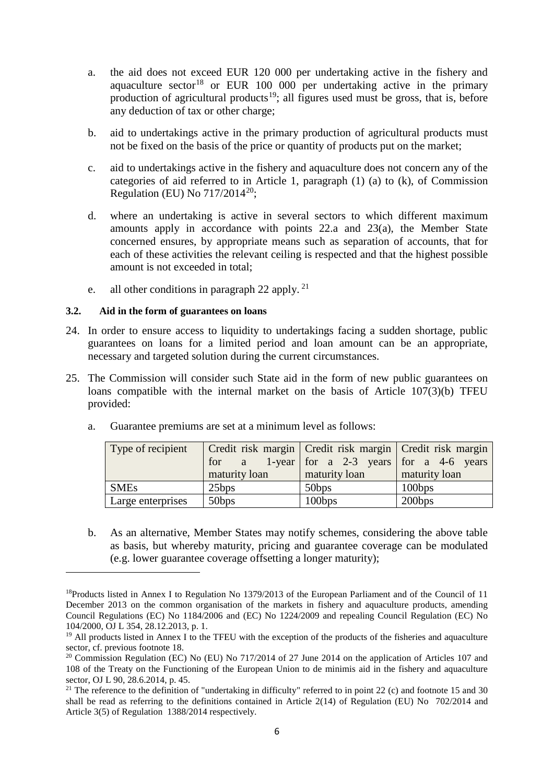- a. the aid does not exceed EUR 120 000 per undertaking active in the fishery and aquaculture sector<sup>[18](#page-6-0)</sup> or EUR 100 000 per undertaking active in the primary production of agricultural products<sup>[19](#page-6-1)</sup>; all figures used must be gross, that is, before any deduction of tax or other charge;
- b. aid to undertakings active in the primary production of agricultural products must not be fixed on the basis of the price or quantity of products put on the market;
- c. aid to undertakings active in the fishery and aquaculture does not concern any of the categories of aid referred to in Article 1, paragraph (1) (a) to (k), of Commission Regulation (EU) No  $717/2014^{20}$ ;
- d. where an undertaking is active in several sectors to which different maximum amounts apply in accordance with points 22.a and 23(a), the Member State concerned ensures, by appropriate means such as separation of accounts, that for each of these activities the relevant ceiling is respected and that the highest possible amount is not exceeded in total;
- e. all other conditions in paragraph 22 apply.  $21$

# **3.2. Aid in the form of guarantees on loans**

 $\overline{a}$ 

- 24. In order to ensure access to liquidity to undertakings facing a sudden shortage, public guarantees on loans for a limited period and loan amount can be an appropriate, necessary and targeted solution during the current circumstances.
- 25. The Commission will consider such State aid in the form of new public guarantees on loans compatible with the internal market on the basis of Article 107(3)(b) TFEU provided:

| Type of recipient | for a<br>maturity loan | Credit risk margin   Credit risk margin   Credit risk margin<br>1-year for a 2-3 years for a 4-6 years<br>maturity loan | maturity loan |
|-------------------|------------------------|-------------------------------------------------------------------------------------------------------------------------|---------------|
| <b>SMEs</b>       | 25bps                  | 50bps                                                                                                                   | 100bps        |
| Large enterprises | 50bps                  | 100bps                                                                                                                  | 200bps        |

a. Guarantee premiums are set at a minimum level as follows:

b. As an alternative, Member States may notify schemes, considering the above table as basis, but whereby maturity, pricing and guarantee coverage can be modulated (e.g. lower guarantee coverage offsetting a longer maturity);

<span id="page-6-0"></span><sup>&</sup>lt;sup>18</sup>Products listed in Annex I to Regulation No 1379/2013 of the European Parliament and of the Council of 11 December 2013 on the common organisation of the markets in fishery and aquaculture products, amending Council Regulations (EC) No 1184/2006 and (EC) No 1224/2009 and repealing Council Regulation (EC) No 104/2000, OJ L 354, 28.12.2013, p. 1.

<span id="page-6-1"></span><sup>&</sup>lt;sup>19</sup> All products listed in Annex I to the TFEU with the exception of the products of the fisheries and aquaculture sector, cf. previous footnote 18.

<span id="page-6-2"></span><sup>&</sup>lt;sup>20</sup> Commission Regulation (EC) No (EU) No 717/2014 of 27 June 2014 on the application of Articles 107 and 108 of the Treaty on the Functioning of the European Union to de minimis aid in the fishery and aquaculture sector, OJ L 90, 28.6.2014, p. 45.

<span id="page-6-3"></span><sup>&</sup>lt;sup>21</sup> The reference to the definition of "undertaking in difficulty" referred to in point 22 (c) and footnote 15 and 30 shall be read as referring to the definitions contained in Article 2(14) of Regulation (EU) No 702/2014 and Article 3(5) of Regulation 1388/2014 respectively.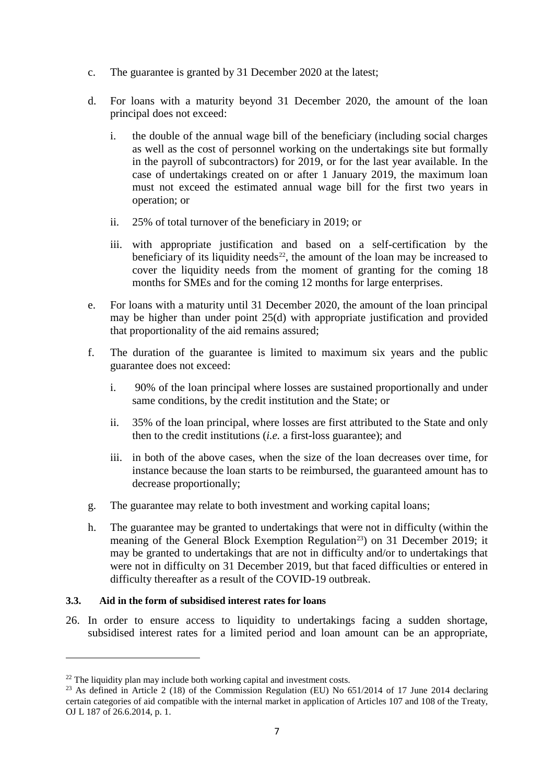- c. The guarantee is granted by 31 December 2020 at the latest;
- d. For loans with a maturity beyond 31 December 2020, the amount of the loan principal does not exceed:
	- i. the double of the annual wage bill of the beneficiary (including social charges as well as the cost of personnel working on the undertakings site but formally in the payroll of subcontractors) for 2019, or for the last year available. In the case of undertakings created on or after 1 January 2019, the maximum loan must not exceed the estimated annual wage bill for the first two years in operation; or
	- ii. 25% of total turnover of the beneficiary in 2019; or
	- iii. with appropriate justification and based on a self-certification by the beneficiary of its liquidity needs<sup>22</sup>, the amount of the loan may be increased to cover the liquidity needs from the moment of granting for the coming 18 months for SMEs and for the coming 12 months for large enterprises.
- e. For loans with a maturity until 31 December 2020, the amount of the loan principal may be higher than under point 25(d) with appropriate justification and provided that proportionality of the aid remains assured;
- f. The duration of the guarantee is limited to maximum six years and the public guarantee does not exceed:
	- i. 90% of the loan principal where losses are sustained proportionally and under same conditions, by the credit institution and the State; or
	- ii. 35% of the loan principal, where losses are first attributed to the State and only then to the credit institutions (*i.e.* a first-loss guarantee); and
	- iii. in both of the above cases, when the size of the loan decreases over time, for instance because the loan starts to be reimbursed, the guaranteed amount has to decrease proportionally;
- g. The guarantee may relate to both investment and working capital loans;
- h. The guarantee may be granted to undertakings that were not in difficulty (within the meaning of the General Block Exemption Regulation<sup>23</sup>) on 31 December 2019; it may be granted to undertakings that are not in difficulty and/or to undertakings that were not in difficulty on 31 December 2019, but that faced difficulties or entered in difficulty thereafter as a result of the COVID-19 outbreak.

#### **3.3. Aid in the form of subsidised interest rates for loans**

 $\overline{a}$ 

26. In order to ensure access to liquidity to undertakings facing a sudden shortage, subsidised interest rates for a limited period and loan amount can be an appropriate,

<span id="page-7-1"></span><span id="page-7-0"></span><sup>&</sup>lt;sup>22</sup> The liquidity plan may include both working capital and investment costs.<br><sup>23</sup> As defined in Article 2 (18) of the Commission Regulation (EU) No 651/2014 of 17 June 2014 declaring certain categories of aid compatible with the internal market in application of Articles 107 and 108 of the Treaty, OJ L 187 of 26.6.2014, p. 1.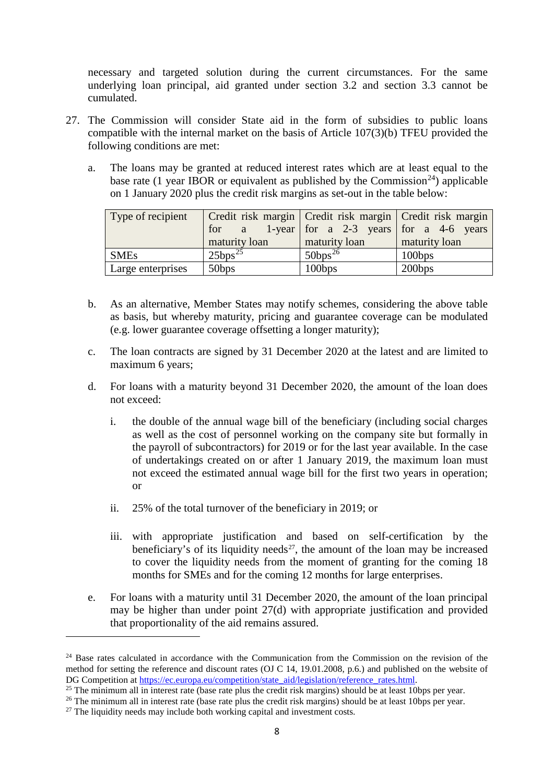necessary and targeted solution during the current circumstances. For the same underlying loan principal, aid granted under section 3.2 and section 3.3 cannot be cumulated.

- 27. The Commission will consider State aid in the form of subsidies to public loans compatible with the internal market on the basis of Article 107(3)(b) TFEU provided the following conditions are met:
	- a. The loans may be granted at reduced interest rates which are at least equal to the base rate (1 year IBOR or equivalent as published by the Commission<sup>24</sup>) applicable on 1 January 2020 plus the credit risk margins as set-out in the table below:

| Type of recipient | maturity loan | Credit risk margin Credit risk margin Credit risk margin<br>for a 1-year for a 2-3 years for a 4-6 years<br>maturity loan | maturity loan |
|-------------------|---------------|---------------------------------------------------------------------------------------------------------------------------|---------------|
| <b>SMEs</b>       | $25bps^{25}$  | $50bps^{26}$                                                                                                              | 100bps        |
| Large enterprises | 50bps         | 100bps                                                                                                                    | 200bps        |

- b. As an alternative, Member States may notify schemes, considering the above table as basis, but whereby maturity, pricing and guarantee coverage can be modulated (e.g. lower guarantee coverage offsetting a longer maturity);
- c. The loan contracts are signed by 31 December 2020 at the latest and are limited to maximum 6 years;
- d. For loans with a maturity beyond 31 December 2020, the amount of the loan does not exceed:
	- i. the double of the annual wage bill of the beneficiary (including social charges as well as the cost of personnel working on the company site but formally in the payroll of subcontractors) for 2019 or for the last year available. In the case of undertakings created on or after 1 January 2019, the maximum loan must not exceed the estimated annual wage bill for the first two years in operation; or
	- ii. 25% of the total turnover of the beneficiary in 2019; or
	- iii. with appropriate justification and based on self-certification by the beneficiary's of its liquidity needs<sup>[27](#page-8-3)</sup>, the amount of the loan may be increased to cover the liquidity needs from the moment of granting for the coming 18 months for SMEs and for the coming 12 months for large enterprises.
- e. For loans with a maturity until 31 December 2020, the amount of the loan principal may be higher than under point 27(d) with appropriate justification and provided that proportionality of the aid remains assured.

<span id="page-8-0"></span><sup>&</sup>lt;sup>24</sup> Base rates calculated in accordance with the Communication from the Commission on the revision of the method for setting the reference and discount rates (OJ C 14, 19.01.2008, p.6.) and published on the website of DG Competition at [https://ec.europa.eu/competition/state\\_aid/legislation/reference\\_rates.html.](https://ec.europa.eu/competition/state_aid/legislation/reference_rates.html)

<span id="page-8-1"></span><sup>&</sup>lt;sup>25</sup> The minimum all in interest rate (base rate plus the credit risk margins) should be at least 10bps per year.

<span id="page-8-2"></span><sup>&</sup>lt;sup>26</sup> The minimum all in interest rate (base rate plus the credit risk margins) should be at least 10bps per year.

<span id="page-8-3"></span><sup>&</sup>lt;sup>27</sup> The liquidity needs may include both working capital and investment costs.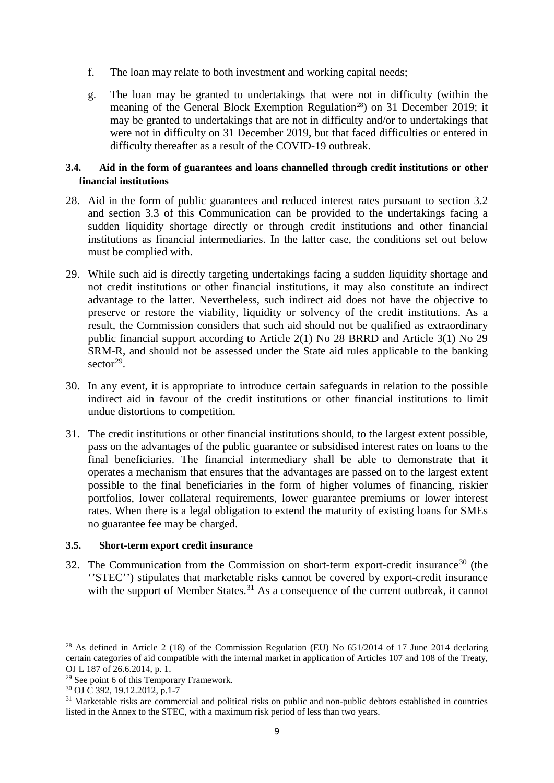- f. The loan may relate to both investment and working capital needs;
- g. The loan may be granted to undertakings that were not in difficulty (within the meaning of the General Block Exemption Regulation<sup>28</sup>) on 31 December 2019; it may be granted to undertakings that are not in difficulty and/or to undertakings that were not in difficulty on 31 December 2019, but that faced difficulties or entered in difficulty thereafter as a result of the COVID-19 outbreak.

# **3.4. Aid in the form of guarantees and loans channelled through credit institutions or other financial institutions**

- 28. Aid in the form of public guarantees and reduced interest rates pursuant to section 3.2 and section 3.3 of this Communication can be provided to the undertakings facing a sudden liquidity shortage directly or through credit institutions and other financial institutions as financial intermediaries. In the latter case, the conditions set out below must be complied with.
- 29. While such aid is directly targeting undertakings facing a sudden liquidity shortage and not credit institutions or other financial institutions, it may also constitute an indirect advantage to the latter. Nevertheless, such indirect aid does not have the objective to preserve or restore the viability, liquidity or solvency of the credit institutions. As a result, the Commission considers that such aid should not be qualified as extraordinary public financial support according to Article 2(1) No 28 BRRD and Article 3(1) No 29 SRM-R, and should not be assessed under the State aid rules applicable to the banking sector<sup>29</sup>.
- 30. In any event, it is appropriate to introduce certain safeguards in relation to the possible indirect aid in favour of the credit institutions or other financial institutions to limit undue distortions to competition.
- 31. The credit institutions or other financial institutions should, to the largest extent possible, pass on the advantages of the public guarantee or subsidised interest rates on loans to the final beneficiaries. The financial intermediary shall be able to demonstrate that it operates a mechanism that ensures that the advantages are passed on to the largest extent possible to the final beneficiaries in the form of higher volumes of financing, riskier portfolios, lower collateral requirements, lower guarantee premiums or lower interest rates. When there is a legal obligation to extend the maturity of existing loans for SMEs no guarantee fee may be charged.

# **3.5. Short-term export credit insurance**

32. The Communication from the Commission on short-term export-credit insurance<sup>[30](#page-9-2)</sup> (the ''STEC'') stipulates that marketable risks cannot be covered by export-credit insurance with the support of Member States.<sup>[31](#page-9-3)</sup> As a consequence of the current outbreak, it cannot

<span id="page-9-0"></span><sup>&</sup>lt;sup>28</sup> As defined in Article 2 (18) of the Commission Regulation (EU) No 651/2014 of 17 June 2014 declaring certain categories of aid compatible with the internal market in application of Articles 107 and 108 of the Treaty, OJ L 187 of 26.6.2014, p. 1.<br><sup>29</sup> See point 6 of this Temporary Framework.

<span id="page-9-3"></span><span id="page-9-2"></span><span id="page-9-1"></span><sup>&</sup>lt;sup>30</sup> OJ C 392, 19.12.2012, p.1-7<br><sup>31</sup> Marketable risks are commercial and political risks on public and non-public debtors established in countries listed in the Annex to the STEC, with a maximum risk period of less than two years.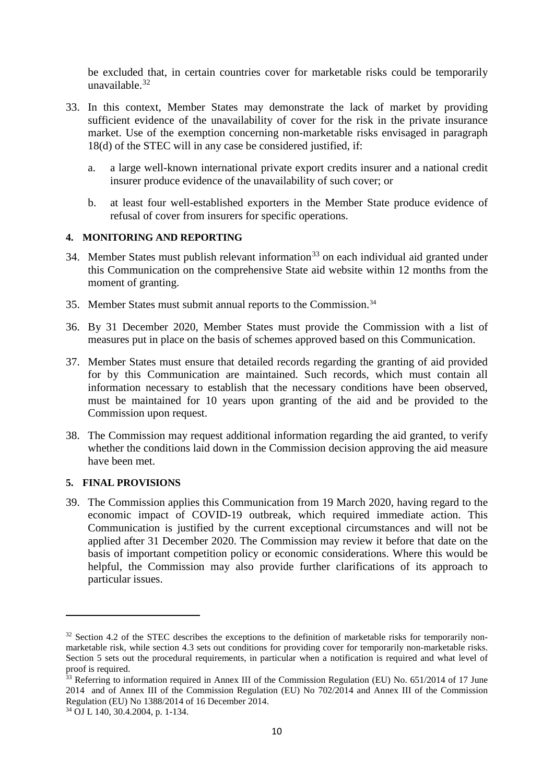be excluded that, in certain countries cover for marketable risks could be temporarily unavailable $32$ 

- 33. In this context, Member States may demonstrate the lack of market by providing sufficient evidence of the unavailability of cover for the risk in the private insurance market. Use of the exemption concerning non-marketable risks envisaged in paragraph 18(d) of the STEC will in any case be considered justified, if:
	- a. a large well-known international private export credits insurer and a national credit insurer produce evidence of the unavailability of such cover; or
	- b. at least four well-established exporters in the Member State produce evidence of refusal of cover from insurers for specific operations.

# **4. MONITORING AND REPORTING**

- 34. Member States must publish relevant information<sup>[33](#page-10-1)</sup> on each individual aid granted under this Communication on the comprehensive State aid website within 12 months from the moment of granting.
- 35. Member States must submit annual reports to the Commission[.34](#page-10-2)
- 36. By 31 December 2020, Member States must provide the Commission with a list of measures put in place on the basis of schemes approved based on this Communication.
- 37. Member States must ensure that detailed records regarding the granting of aid provided for by this Communication are maintained. Such records, which must contain all information necessary to establish that the necessary conditions have been observed, must be maintained for 10 years upon granting of the aid and be provided to the Commission upon request.
- 38. The Commission may request additional information regarding the aid granted, to verify whether the conditions laid down in the Commission decision approving the aid measure have been met.

# **5. FINAL PROVISIONS**

39. The Commission applies this Communication from 19 March 2020, having regard to the economic impact of COVID-19 outbreak, which required immediate action. This Communication is justified by the current exceptional circumstances and will not be applied after 31 December 2020. The Commission may review it before that date on the basis of important competition policy or economic considerations. Where this would be helpful, the Commission may also provide further clarifications of its approach to particular issues.

<span id="page-10-0"></span><sup>&</sup>lt;sup>32</sup> Section 4.2 of the STEC describes the exceptions to the definition of marketable risks for temporarily nonmarketable risk, while section 4.3 sets out conditions for providing cover for temporarily non-marketable risks. Section 5 sets out the procedural requirements, in particular when a notification is required and what level of proof is required.

<span id="page-10-1"></span><sup>&</sup>lt;sup>33</sup> Referring to information required in Annex III of the Commission Regulation (EU) No. 651/2014 of 17 June 2014 and of Annex III of the Commission Regulation (EU) No 702/2014 and Annex III of the Commission Regulation (EU) No 1388/2014 of 16 December 2014.

<span id="page-10-2"></span><sup>34</sup> OJ L 140, 30.4.2004, p. 1-134.